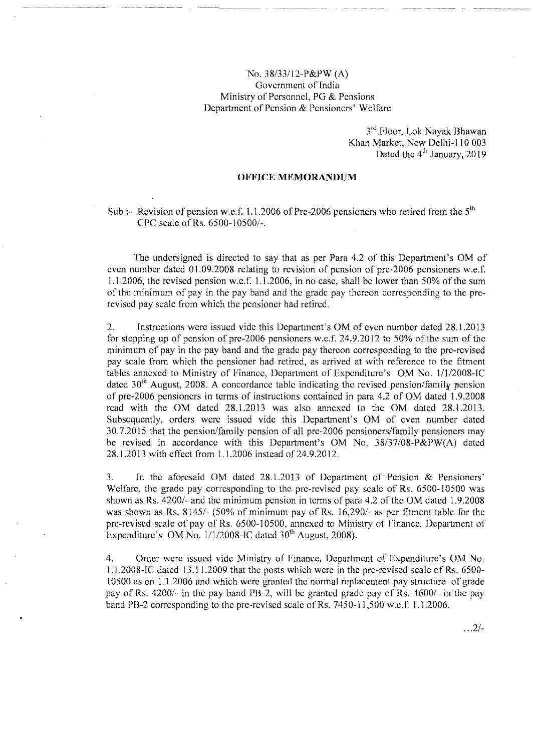## No. 38/33112-P&PW (A) Government of India Ministry of Personnel, PG & Pensions Department of Pension & Pensioners' Welfare

--.----------

3<sup>rd</sup> Floor, Lok Nayak Bhawar Khan Market, New Delhi-110 003 Dated the  $4<sup>th</sup>$  January, 2019

## **OFFICE MEMORANDUM**

## Sub :- Revision of pension w.e.f. 1.1.2006 of Pre-2006 pensioners who retired from the  $5<sup>th</sup>$ CPC scale of Rs. 6500-10500/-.

The undersigned is directed to say that as per Para 4.2 of this Department's OM of even number dated 01.09.2008 relating to revision of pension of pre-2006 pensioners w.e.f. 1.1.2006, the revised pension w.e.f. 1.1.2006, in no case, shall be lower than 50% of the sum of the minimum of pay in the pay band and the grade pay thereon corresponding to the prerevised pay scale from which the pensioner had retired.

2. Instructions were issued vide this Department's OM of even number dated 28.1.2013 for stepping up of pension of pre-2006 pensioners w.e.f.  $24.9.2012$  to 50% of the sum of the minimum of pay in the pay band and the grade pay thereon corresponding to the pre-revised pay scale from which the pensioner had retired, as arrived at with reference to the fitment tables annexed to Ministry of Finance, Department of Expenditure's OM No. 1/1/2008-IC dated  $30<sup>th</sup>$  August, 2008. A concordance table indicating the revised pension/family pension of pre-2006 pensioners in terms of instructions contained in para 4.2 of OM dated 1.9.2008 read with the OM dated 28.1.2013 was also annexed to the OM dated 28.1.2013. Subsequently, orders were issued vide this Department's OM of even number dated 30.7.2015 that the pension/family pension of all pre-2006 pensioners/family pensioners may be revised in accordance with this Department's OM No. 38/37/08-P&PW(A) dated 28.1.2013 with effect from 1.1.2006 instead of24.9.2012.

3. In the aforesaid OM dated 28.1.2013 of Department of Pension & Pensioners' Welfare, the grade pay corresponding to the pre-revised pay scale of Rs. 6500-10500 was shown as Rs. 4200/- and the minimum pension in terms of para 4.2 of the OM dated 1.9.2008 was shown as Rs. 8145/- (50% of minimum pay of Rs. 16,290/- as per fitment table for the pre-revised scale of pay of Rs. 6500-10500, annexed to Ministry of Finance, Department of Expenditure's OM No.  $1/1/2008$ -IC dated 30<sup>th</sup> August, 2008).

4. Order were issued vide Ministry of Finance, Department of Expenditure's OM No. 1.1.2008-1C dated 13.11.2009 that the posts which were in the pre-revised scale of Rs. 6500- 10500 as on 1.1.2006 and which were granted the normal replacement pay structure of grade pay of Rs. 4200/- in the pay band PB-2, will be granted grade pay of Rs. 4600/- in the pay band PB-2 corresponding to the pre-revised scale of Rs, 7450-11,500 w.e.f. 1.1.2006.

. ..2/-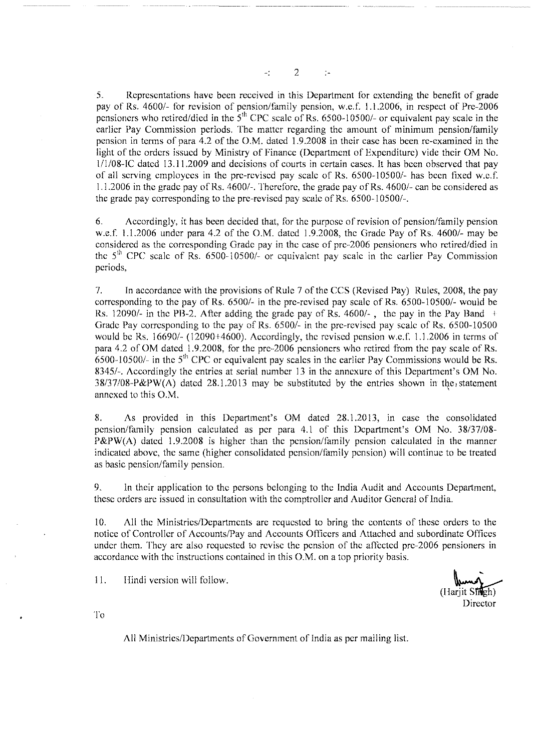$\omega_{\perp}^{\perp}$ 2  $\frac{1}{2}$ 

5. Representations have been received in this Department for extending the benefit of grade pay of Rs. 4600/- for revision of pension/family pension, w.e.f. 1.1.2006, in respect of Pre-2006 pensioners who retired/died in the  $5<sup>th</sup>$  CPC scale of Rs. 6500-10500/- or equivalent pay scale in the earlier Pay Commission periods. The matter regarding the amount of minimum pension/family pension in terms of para 4.2 of the O.M. dated 1.9.2008 in their case has been re-examined in the light of the orders issued by Ministry of Finance (Department of Expenditure) vide their OM No. l/l/08-IC dated 13.11.2009 and decisions of courts in certain cases. It has been observed that pay of all serving employees in the pre-revised pay scale of Rs. 6500-10500/- has been fixed w.e.f. 1.1.2006 in the grade pay ofRs. 4600/-. Therefore, the grade pay of Rs, 4600/- can be considered as the grade pay corresponding to the pre-revised pay scale of Rs. 6500-10500/-.

6. Accordingly, it has been decided that, for the purpose of revision of pension/family pension w.e.f. 1.1.2006 under para 4.2 of the O.M. dated 1.9.2008, the Grade Pay of Rs. 4600/- may be considered as the corresponding Grade pay in the case of pre-2006 pensioners who retired/died in the  $5<sup>th</sup>$  CPC scale of Rs. 6500-10500/- or equivalent pay scale in the earlier Pay Commissio periods,

7. In accordance with the provisions of Rule 7 of the CCS (Revised Pay) Rules, 2008, the pay corresponding to the pay of Rs. 6500/- in the pre-revised pay scale of Rs. 6500-10500/- would be Rs. 12090/- in the PB-2. After adding the grade pay of Rs. 4600/-, the pay in the Pay Band  $\pm$ Grade Pay corresponding to the pay of Rs. 6500/- in the pre-revised pay scale of Rs. 6500-10500 would be Rs. 16690/- (12090+4600). Accordingly, the revised pension w.e.f. 1.1.2006 in terms of para 4.2 of OM dated 1.9.2008, for the pre-2006 pensioners who retired from the pay scale of Rs. 6500-10500/- in the 5<sup>th</sup> CPC or equivalent pay scales in the earlier Pay Commissions would be Rs. 8345/-. Accordingly the entries at serial number 13 in the annexure of this Department's OM No.  $38/37/08-P\&PW(A)$  dated  $28.1.2013$  may be substituted by the entries shown in the<sub>1</sub> statement annexed to this O.M.

8. As provided in this Department's OM dated 28.1.2013, in case the consolidated pension/family pension calculated as per para 4.1 of this Department's OM No. 38/37/08- P&PW(A) dated 1.9.2008 is higher than the pension/family pension calculated in the manner indicated above, the same (higher consolidated pension/family pension) will continue to be treated as basic pension/family pension.

9. In their application to the persons belonging to the India Audit and Accounts Department, these orders are issued in consultation with the comptroller and Auditor General of India.

10. All the Ministries/Departments are requested to bring the contents of these orders to the notice of Controller of Accounts/Pay and Accounts Officers and Attached and subordinate Offices under them. They are also requested to revise the pension of the affected pre-2006 pensioners in accordance with the instructions contained in this O.M. on a top priority basis.

11. Hindi version will follow.

(Hariit Sfreh) Director

To

All Ministries/Departments of Government of India as per mailing list.